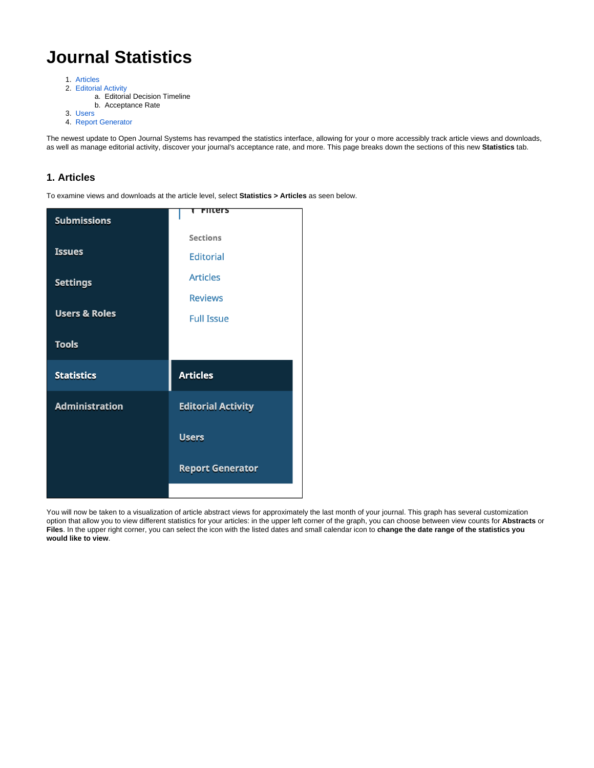# **Journal Statistics**

- 1. [Articles](#page-0-0)
- 2. [Editorial Activity](#page-2-0)
	- a. Editorial Decision Timeline
	- b. Acceptance Rate
- 3. [Users](#page-4-0)
- 4. [Report Generator](#page-5-0)

The newest update to Open Journal Systems has revamped the statistics interface, allowing for your o more accessibly track article views and downloads, as well as manage editorial activity, discover your journal's acceptance rate, and more. This page breaks down the sections of this new **Statistics** tab.

#### <span id="page-0-0"></span>**1. Articles**

To examine views and downloads at the article level, select **Statistics > Articles** as seen below.

| <b>Submissions</b>       | nters                     |
|--------------------------|---------------------------|
|                          | <b>Sections</b>           |
| <b>Issues</b>            | <b>Editorial</b>          |
| <b>Settings</b>          | <b>Articles</b>           |
|                          | <b>Reviews</b>            |
| <b>Users &amp; Roles</b> | <b>Full Issue</b>         |
| <b>Tools</b>             |                           |
|                          |                           |
| <b>Statistics</b>        | <b>Articles</b>           |
| <b>Administration</b>    | <b>Editorial Activity</b> |
|                          | <b>Users</b>              |
|                          | <b>Report Generator</b>   |

You will now be taken to a visualization of article abstract views for approximately the last month of your journal. This graph has several customization option that allow you to view different statistics for your articles: in the upper left corner of the graph, you can choose between view counts for **Abstracts** or **Files**. In the upper right corner, you can select the icon with the listed dates and small calendar icon to **change the date range of the statistics you would like to view**.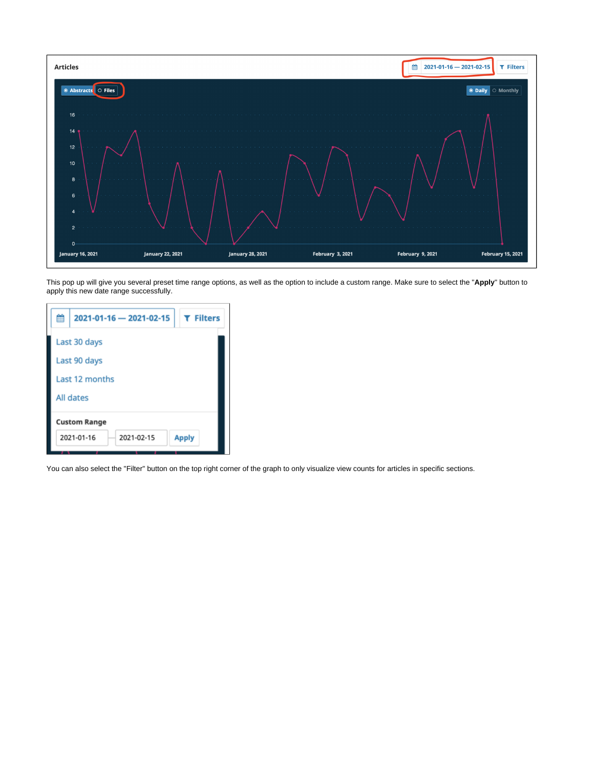

This pop up will give you several preset time range options, as well as the option to include a custom range. Make sure to select the "**Apply**" button to apply this new date range successfully.

| 鹼 | 2021-01-16 - 2021-02-15  | <b>T</b> Filters |  |  |
|---|--------------------------|------------------|--|--|
|   | Last 30 days             |                  |  |  |
|   | Last 90 days             |                  |  |  |
|   | Last 12 months           |                  |  |  |
|   | All dates                |                  |  |  |
|   | <b>Custom Range</b>      |                  |  |  |
|   | 2021-01-16<br>2021-02-15 | <b>Apply</b>     |  |  |

You can also select the "Filter" button on the top right corner of the graph to only visualize view counts for articles in specific sections.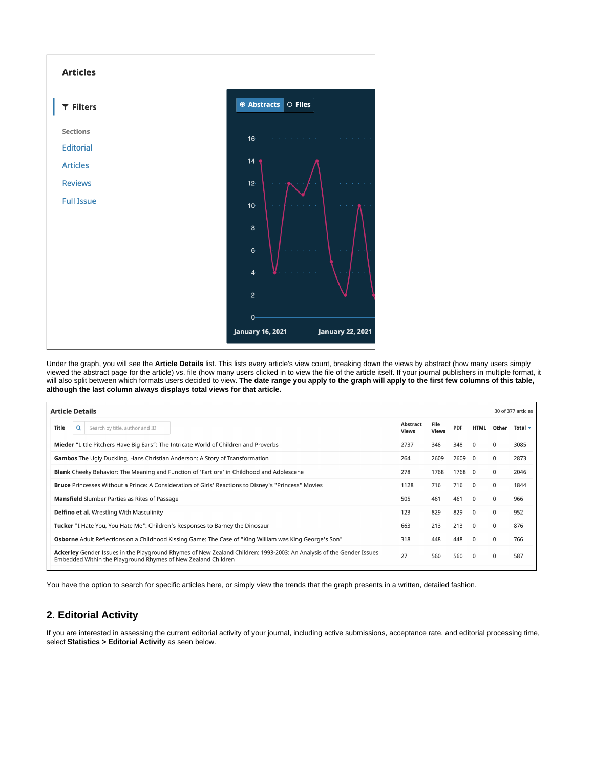

Under the graph, you will see the **Article Details** list. This lists every article's view count, breaking down the views by abstract (how many users simply viewed the abstract page for the article) vs. file (how many users clicked in to view the file of the article itself. If your journal publishers in multiple format, it will also split between which formats users decided to view. **The date range you apply to the graph will apply to the first few columns of this table, although the last column always displays total views for that article.**

| <b>Article Details</b>                                                                                                                                                                |                          |                      |            |              |              | 30 of 377 articles |
|---------------------------------------------------------------------------------------------------------------------------------------------------------------------------------------|--------------------------|----------------------|------------|--------------|--------------|--------------------|
| Title<br>Search by title, author and ID<br>Q                                                                                                                                          | Abstract<br><b>Views</b> | File<br><b>Views</b> | <b>PDF</b> | HTML         | Other        | Total $\sim$       |
| Mieder "Little Pitchers Have Big Ears": The Intricate World of Children and Proverbs                                                                                                  | 2737                     | 348                  | 348        | $\mathbf{0}$ | 0            | 3085               |
| Gambos The Ugly Duckling, Hans Christian Anderson: A Story of Transformation                                                                                                          | 264                      | 2609                 | 2609       | $\Omega$     | $\mathbf 0$  | 2873               |
| <b>Blank</b> Cheeky Behavior: The Meaning and Function of 'Fartlore' in Childhood and Adolescene                                                                                      | 278                      | 1768                 | 1768 0     |              | 0            | 2046               |
| Bruce Princesses Without a Prince: A Consideration of Girls' Reactions to Disney's "Princess" Movies                                                                                  | 1128                     | 716                  | 716        | $\Omega$     | $\mathbf{0}$ | 1844               |
| <b>Mansfield</b> Slumber Parties as Rites of Passage                                                                                                                                  |                          | 461                  | 461        | $^{\circ}$   | 0            | 966                |
| <b>Delfino et al.</b> Wrestling With Masculinity                                                                                                                                      | 123                      | 829                  | 829        | $^{\circ}$   | 0            | 952                |
| <b>Tucker</b> "I Hate You, You Hate Me": Children's Responses to Barney the Dinosaur                                                                                                  | 663                      | 213                  | 213        | $^{\circ}$   | $\mathbf{0}$ | 876                |
| Osborne Adult Reflections on a Childhood Kissing Game: The Case of "King William was King George's Son"                                                                               | 318                      | 448                  | 448        | $\mathbf{0}$ | 0            | 766                |
| Ackerley Gender Issues in the Playground Rhymes of New Zealand Children: 1993-2003: An Analysis of the Gender Issues<br>Embedded Within the Playground Rhymes of New Zealand Children | 27                       | 560                  | 560        | $^{\circ}$   | 0            | 587                |
|                                                                                                                                                                                       |                          |                      |            |              |              |                    |

You have the option to search for specific articles here, or simply view the trends that the graph presents in a written, detailed fashion.

#### <span id="page-2-0"></span>**2. Editorial Activity**

If you are interested in assessing the current editorial activity of your journal, including active submissions, acceptance rate, and editorial processing time, select **Statistics > Editorial Activity** as seen below.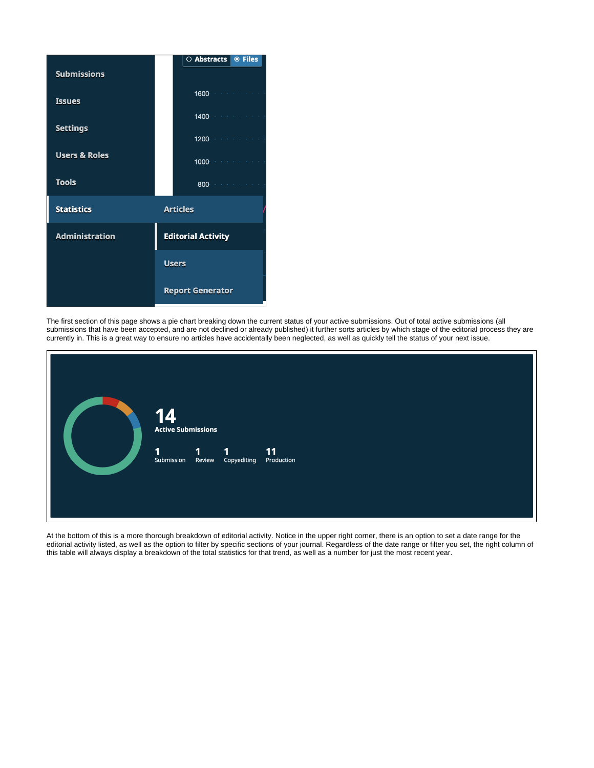|                          | O Abstracts<br><b>◎ Files</b> |
|--------------------------|-------------------------------|
| <b>Submissions</b>       |                               |
| <b>Issues</b>            | 1600                          |
| <b>Settings</b>          | 1400                          |
|                          | 1200                          |
| <b>Users &amp; Roles</b> | 1000                          |
| <b>Tools</b>             | 800                           |
| <b>Statistics</b>        | <b>Articles</b>               |
| <b>Administration</b>    | <b>Editorial Activity</b>     |
|                          | <b>Users</b>                  |
|                          | <b>Report Generator</b>       |

The first section of this page shows a pie chart breaking down the current status of your active submissions. Out of total active submissions (all submissions that have been accepted, and are not declined or already published) it further sorts articles by which stage of the editorial process they are currently in. This is a great way to ensure no articles have accidentally been neglected, as well as quickly tell the status of your next issue.

|  | 14<br><b>Active Submissions</b> |                           |                  |  |
|--|---------------------------------|---------------------------|------------------|--|
|  | $\mathbf{1}$<br>Submission      | 1 1<br>Review Copyediting | 11<br>Production |  |

At the bottom of this is a more thorough breakdown of editorial activity. Notice in the upper right corner, there is an option to set a date range for the editorial activity listed, as well as the option to filter by specific sections of your journal. Regardless of the date range or filter you set, the right column of this table will always display a breakdown of the total statistics for that trend, as well as a number for just the most recent year.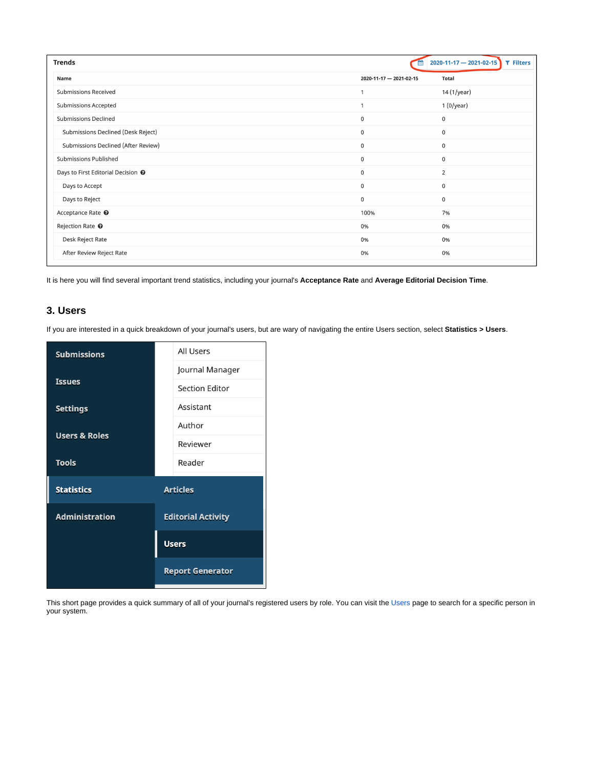| <b>Trends</b>                                 | 會                       | $2020 - 11 - 17 - 2021 - 02 - 15$<br>T Filters |
|-----------------------------------------------|-------------------------|------------------------------------------------|
| Name                                          | 2020-11-17 - 2021-02-15 | <b>Total</b>                                   |
| <b>Submissions Received</b>                   |                         | 14 (1/year)                                    |
| <b>Submissions Accepted</b>                   |                         | 1 (0/year)                                     |
| <b>Submissions Declined</b>                   | $\mathsf 0$             | $\pmb{0}$                                      |
| Submissions Declined (Desk Reject)            | $\mathsf 0$             | $\pmb{0}$                                      |
| Submissions Declined (After Review)           | $\mathsf 0$             | $\mathbf 0$                                    |
| <b>Submissions Published</b>                  | $\mathsf 0$             | $\mathbf 0$                                    |
| Days to First Editorial Decision <sup>O</sup> | $\mathbf 0$             | $\overline{2}$                                 |
| Days to Accept                                | $\mathbf 0$             | $\mathbf 0$                                    |
| Days to Reject                                | $\pmb{0}$               | $\mathbf 0$                                    |
| Acceptance Rate <sup>O</sup>                  | 100%                    | 7%                                             |
| Rejection Rate <sup>O</sup>                   | 0%                      | 0%                                             |
| Desk Reject Rate                              | 0%                      | 0%                                             |
| After Review Reject Rate                      | 0%                      | 0%                                             |

It is here you will find several important trend statistics, including your journal's **Acceptance Rate** and **Average Editorial Decision Time**.

### <span id="page-4-0"></span>**3. Users**

If you are interested in a quick breakdown of your journal's users, but are wary of navigating the entire Users section, select **Statistics > Users**.

| All Users                 |
|---------------------------|
| Journal Manager           |
| <b>Section Editor</b>     |
| Assistant                 |
| Author                    |
| Reviewer                  |
| Reader                    |
| <b>Articles</b>           |
| <b>Editorial Activity</b> |
| <b>Users</b>              |
| <b>Report Generator</b>   |
|                           |

This short page provides a quick summary of all of your journal's registered users by role. You can visit the [Users](https://wiki.dlib.indiana.edu/display/IUSW/Users) page to search for a specific person in your system.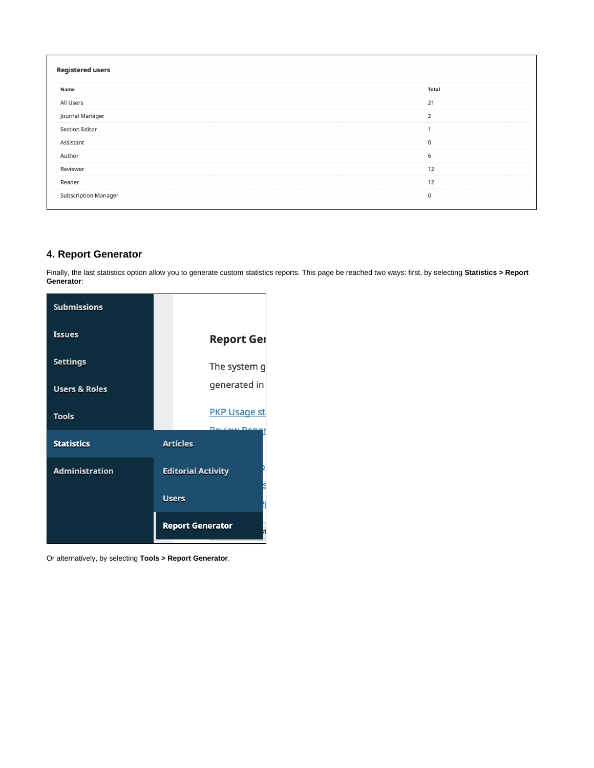| <b>Registered users</b>     |                |
|-----------------------------|----------------|
| Name                        | <b>Total</b>   |
| All Users                   | 21             |
| Journal Manager             | $\overline{2}$ |
| <b>Section Editor</b>       | $\mathbf{1}$   |
| Assistant                   | $\mathbf 0$    |
| Author                      | 6              |
| Reviewer                    | 12             |
| Reader                      | 12             |
| <b>Subscription Manager</b> | $\mathsf 0$    |

## <span id="page-5-0"></span>**4. Report Generator**

Finally, the last statistics option allow you to generate custom statistics reports. This page be reached two ways: first, by selecting **Statistics > Report Generator**:

| <b>Submissions</b>       |                                            |
|--------------------------|--------------------------------------------|
| <b>Issues</b>            | <b>Report Ger</b>                          |
| <b>Settings</b>          | The system g                               |
| <b>Users &amp; Roles</b> | generated in                               |
| <b>Tools</b>             | <b>PKP Usage st</b><br><b>Doviour Dong</b> |
| <b>Statistics</b>        | <b>Articles</b>                            |
| <b>Administration</b>    | <b>Editorial Activity</b>                  |
|                          | <b>Users</b>                               |
|                          | <b>Report Generator</b>                    |

Or alternatively, by selecting **Tools > Report Generator**.